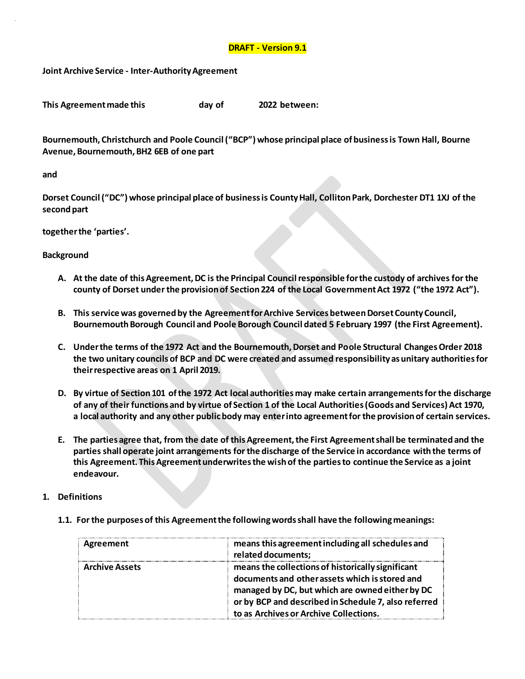## **DRAFT - Version 9.1**

**Joint Archive Service - Inter-Authority Agreement**

| This Agreement made this | day of | 2022 between: |
|--------------------------|--------|---------------|
|                          |        |               |

**Bournemouth, Christchurch and Poole Council ("BCP") whose principal place of business is Town Hall, Bourne Avenue, Bournemouth, BH2 6EB of one part**

#### **and**

**Dorset Council ("DC") whose principal place of business is County Hall, Colliton Park, Dorchester DT1 1XJ of the second part**

### **together the 'parties'.**

## **Background**

- **A. At the date of this Agreement, DC is the Principal Council responsible for the custody of archives for the county of Dorset under the provision of Section 224 of the Local Government Act 1972 ("the 1972 Act").**
- **B. This service was governed by the Agreement for Archive Services between Dorset County Council, Bournemouth Borough Council and Poole Borough Council dated 5 February 1997 (the First Agreement).**
- **C. Under the terms of the 1972 Act and the Bournemouth, Dorset and Poole Structural Changes Order 2018 the two unitary councils of BCP and DC were created and assumed responsibility as unitary authorities for their respective areas on 1 April 2019.**
- **D. By virtue of Section 101 of the 1972 Act local authorities may make certain arrangements for the discharge of any of their functions and by virtue of Section 1 of the Local Authorities (Goods and Services) Act 1970, a local authority and any other public body may enter into agreement for the provision of certain services.**
- **E. The parties agree that, from the date of this Agreement, the First Agreement shall be terminated and the parties shall operate joint arrangements for the discharge of the Service in accordance with the terms of this Agreement. This Agreement underwrites the wish of the parties to continue the Service as a joint endeavour.**
- **1. Definitions**
	- **1.1. For the purposes of this Agreement the following words shall have the following meanings:**

| Agreement             | means this agreement including all schedules and     |  |
|-----------------------|------------------------------------------------------|--|
|                       | related documents;                                   |  |
| <b>Archive Assets</b> | means the collections of historically significant    |  |
|                       | documents and other assets which is stored and       |  |
|                       | managed by DC, but which are owned either by DC      |  |
|                       | or by BCP and described in Schedule 7, also referred |  |
|                       | to as Archives or Archive Collections.               |  |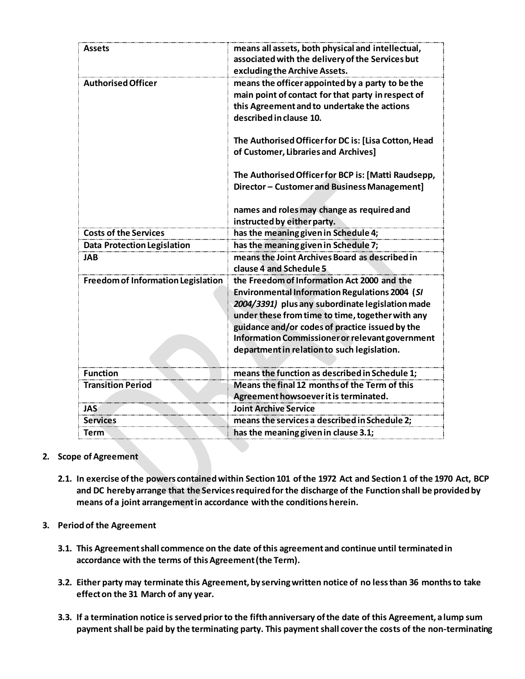| means all assets, both physical and intellectual,<br>associated with the delivery of the Services but<br>excluding the Archive Assets.                                                                                                                                                                                                                            |
|-------------------------------------------------------------------------------------------------------------------------------------------------------------------------------------------------------------------------------------------------------------------------------------------------------------------------------------------------------------------|
| means the officer appointed by a party to be the<br>main point of contact for that party in respect of<br>this Agreement and to undertake the actions<br>described in clause 10.                                                                                                                                                                                  |
| The Authorised Officer for DC is: [Lisa Cotton, Head<br>of Customer, Libraries and Archives]                                                                                                                                                                                                                                                                      |
| The Authorised Officer for BCP is: [Matti Raudsepp,<br>Director - Customer and Business Management]                                                                                                                                                                                                                                                               |
| names and roles may change as required and<br>instructed by either party.                                                                                                                                                                                                                                                                                         |
| has the meaning given in Schedule 4;                                                                                                                                                                                                                                                                                                                              |
| has the meaning given in Schedule 7;                                                                                                                                                                                                                                                                                                                              |
| means the Joint Archives Board as described in<br>clause 4 and Schedule 5                                                                                                                                                                                                                                                                                         |
| the Freedom of Information Act 2000 and the<br><b>Environmental Information Regulations 2004 (SI</b><br>2004/3391) plus any subordinate legislation made<br>under these from time to time, together with any<br>guidance and/or codes of practice issued by the<br>Information Commissioner or relevant government<br>department in relation to such legislation. |
| means the function as described in Schedule 1;                                                                                                                                                                                                                                                                                                                    |
| Means the final 12 months of the Term of this                                                                                                                                                                                                                                                                                                                     |
| Agreement howsoever it is terminated.                                                                                                                                                                                                                                                                                                                             |
| <b>Joint Archive Service</b>                                                                                                                                                                                                                                                                                                                                      |
| means the services a described in Schedule 2:                                                                                                                                                                                                                                                                                                                     |
|                                                                                                                                                                                                                                                                                                                                                                   |

- **2. Scope of Agreement**
	- **2.1. In exercise of the powers contained within Section 101 of the 1972 Act and Section 1 of the 1970 Act, BCP and DC hereby arrange that the Services required for the discharge of the Function shall be provided by means of a joint arrangement in accordance with the conditions herein.**
- **3. Period of the Agreement**
	- **3.1. This Agreement shall commence on the date of this agreement and continue until terminated in accordance with the terms of this Agreement (the Term).**
	- **3.2. Either party may terminate this Agreement, by serving written notice of no less than 36 months to take effect on the 31 March of any year.**
	- **3.3. If a termination notice is served prior to the fifth anniversary of the date of this Agreement, a lump sum payment shall be paid by the terminating party. This payment shall cover the costs of the non-terminating**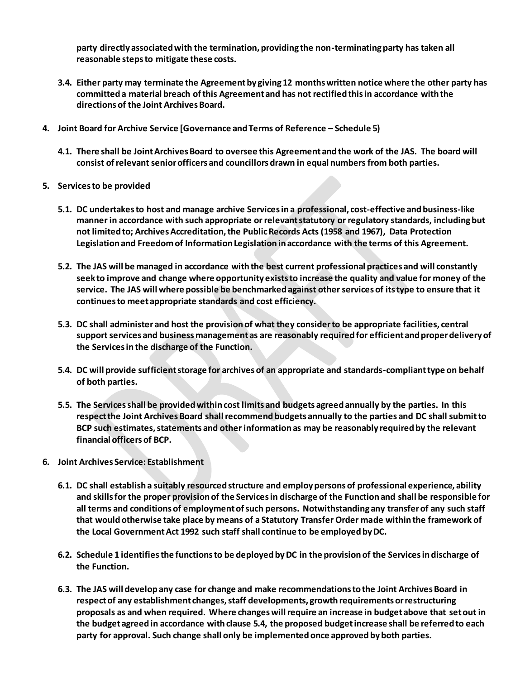**party directly associated with the termination, providing the non-terminating party has taken all reasonable steps to mitigate these costs.** 

- **3.4. Either party may terminate the Agreement by giving 12 months written notice where the other party has committed a material breach of this Agreement and has not rectified this in accordance with the directions of the Joint Archives Board.**
- **4. Joint Board for Archive Service [Governance and Terms of Reference – Schedule 5)**
	- **4.1. There shall be Joint Archives Board to oversee this Agreement and the work of the JAS. The board will consist of relevant senior officers and councillors drawn in equal numbers from both parties.**
- **5. Services to be provided**
	- **5.1. DC undertakes to host and manage archive Services in a professional, cost-effective and business-like manner in accordance with such appropriate or relevant statutory or regulatory standards, including but not limited to; Archives Accreditation, the Public Records Acts (1958 and 1967), Data Protection Legislation and Freedom of Information Legislation in accordance with the terms of this Agreement.**
	- **5.2. The JAS will be managed in accordance with the best current professional practices and will constantly seek to improve and change where opportunity exists to increase the quality and value for money of the service. The JAS will where possible be benchmarked against other services of its type to ensure that it continues to meet appropriate standards and cost efficiency.**
	- **5.3. DC shall administer and host the provision of what they consider to be appropriate facilities, central support services and business management as are reasonably required for efficient and proper delivery of the Services in the discharge of the Function.**
	- **5.4. DC will provide sufficient storage for archives of an appropriate and standards-compliant type on behalf of both parties.**
	- **5.5. The Services shall be provided within cost limits and budgets agreed annually by the parties. In this respect the Joint Archives Board shall recommend budgets annually to the parties and DC shall submit to BCP such estimates, statements and other information as may be reasonably required by the relevant financial officers of BCP.**
- **6. Joint Archives Service: Establishment** 
	- **6.1. DC shall establish a suitably resourced structure and employ persons of professional experience, ability and skills for the proper provision of the Services in discharge of the Function and shall be responsible for all terms and conditions of employment of such persons. Notwithstanding any transfer of any such staff that would otherwise take place by means of a Statutory Transfer Order made within the framework of the Local Government Act 1992 such staff shall continue to be employed by DC.**
	- **6.2. Schedule 1 identifies the functions to be deployed by DC in the provision of the Services in discharge of the Function.**
	- **6.3. The JAS will develop any case for change and make recommendations to the Joint Archives Board in respect of any establishment changes, staff developments, growth requirements or restructuring proposals as and when required. Where changes will require an increase in budget above that set out in the budget agreed in accordance with clause 5.4, the proposed budget increase shall be referred to each party for approval. Such change shall only be implemented once approved by both parties.**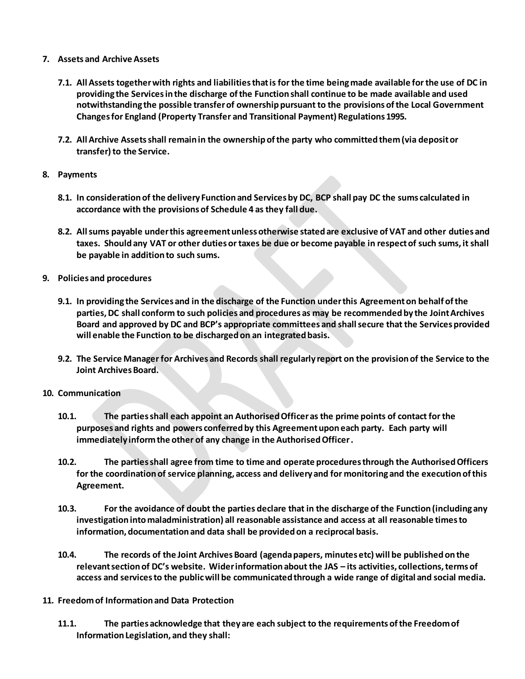## **7. Assets and Archive Assets**

- **7.1. All Assets together with rights and liabilities that is for the time being made available for the use of DC in providing the Services in the discharge of the Function shall continue to be made available and used notwithstanding the possible transfer of ownership pursuant to the provisions of the Local Government Changes for England (Property Transfer and Transitional Payment) Regulations 1995.**
- **7.2. All Archive Assets shall remain in the ownership of the party who committed them (via deposit or transfer) to the Service.**
- **8. Payments**
	- **8.1. In consideration of the delivery Function and Services by DC, BCP shall pay DC the sums calculated in accordance with the provisions of Schedule 4 as they fall due.**
	- **8.2. All sums payable under this agreement unless otherwise stated are exclusive of VAT and other duties and taxes. Should any VAT or other duties or taxes be due or become payable in respect of such sums, it shall be payable in addition to such sums.**
- **9. Policies and procedures**
	- **9.1. In providing the Services and in the discharge of the Function under this Agreement on behalf of the parties, DC shall conform to such policies and procedures as may be recommended by the Joint Archives Board and approved by DC and BCP's appropriate committees and shall secure that the Services provided will enable the Function to be discharged on an integrated basis.**
	- **9.2. The Service Manager for Archives and Records shall regularly report on the provision of the Service to the Joint Archives Board.**
- **10. Communication**
	- **10.1. The parties shall each appoint an Authorised Officer as the prime points of contact for the purposes and rights and powers conferred by this Agreement upon each party. Each party will immediately inform the other of any change in the Authorised Officer .**
	- **10.2. The parties shall agree from time to time and operate procedures through the Authorised Officers for the coordination of service planning, access and delivery and for monitoring and the execution of this Agreement.**
	- **10.3. For the avoidance of doubt the parties declare that in the discharge of the Function (including any investigation into maladministration) all reasonable assistance and access at all reasonable times to information, documentation and data shall be provided on a reciprocal basis.**
	- **10.4. The records of the Joint Archives Board (agenda papers, minutes etc) will be published on the relevant section of DC's website. Wider information about the JAS – its activities, collections, terms of access and services to the public will be communicated through a wide range of digital and social media.**
- **11. Freedom of Information and Data Protection**
	- **11.1. The parties acknowledge that they are each subject to the requirements of the Freedom of Information Legislation, and they shall:**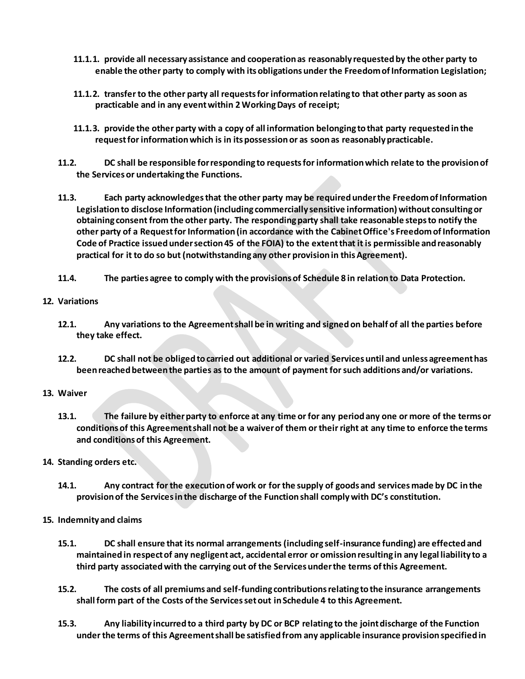- **11.1.1. provide all necessary assistance and cooperation as reasonably requested by the other party to enable the other party to comply with its obligations under the Freedom of Information Legislation;**
- **11.1.2. transfer to the other party all requests for information relating to that other party as soon as practicable and in any event within 2 Working Days of receipt;**
- **11.1.3. provide the other party with a copy of all information belonging to that party requested in the request for information which is in its possession or as soon as reasonably practicable.**
- **11.2. DC shall be responsible for responding to requests for information which relate to the provision of the Services or undertaking the Functions.**
- **11.3. Each party acknowledges that the other party may be required under the Freedom of Information Legislation to disclose Information (including commercially sensitive information) without consulting or obtaining consent from the other party. The responding party shall take reasonable steps to notify the other party of a Request for Information (in accordance with the Cabinet Office's Freedom of Information Code of Practice issued under section 45 of the FOIA) to the extent that it is permissible and reasonably practical for it to do so but (notwithstanding any other provision in this Agreement).**
- **11.4. The parties agree to comply with the provisions of Schedule 8 in relation to Data Protection.**

## **12. Variations**

- **12.1. Any variations to the Agreement shall be in writing and signed on behalf of all the parties before they take effect.**
- **12.2. DC shall not be obliged to carried out additional or varied Services until and unless agreement has been reached between the parties as to the amount of payment for such additions and/or variations.**

### **13. Waiver**

- **13.1. The failure by either party to enforce at any time or for any period any one or more of the terms or conditions of this Agreement shall not be a waiver of them or their right at any time to enforce the terms and conditions of this Agreement.**
- **14. Standing orders etc.**
	- **14.1. Any contract for the execution of work or for the supply of goods and services made by DC in the provision of the Services in the discharge of the Function shall comply with DC's constitution.**
- **15. Indemnity and claims**
	- **15.1. DC shall ensure that its normal arrangements (including self-insurance funding) are effected and maintained in respect of any negligent act, accidental error or omission resulting in any legal liability to a third party associated with the carrying out of the Services under the terms of this Agreement.**
	- **15.2. The costs of all premiums and self-funding contributions relating to the insurance arrangements shall form part of the Costs of the Services set out in Schedule 4 to this Agreement.**
	- **15.3. Any liability incurred to a third party by DC or BCP relating to the joint discharge of the Function under the terms of this Agreement shall be satisfied from any applicable insurance provision specified in**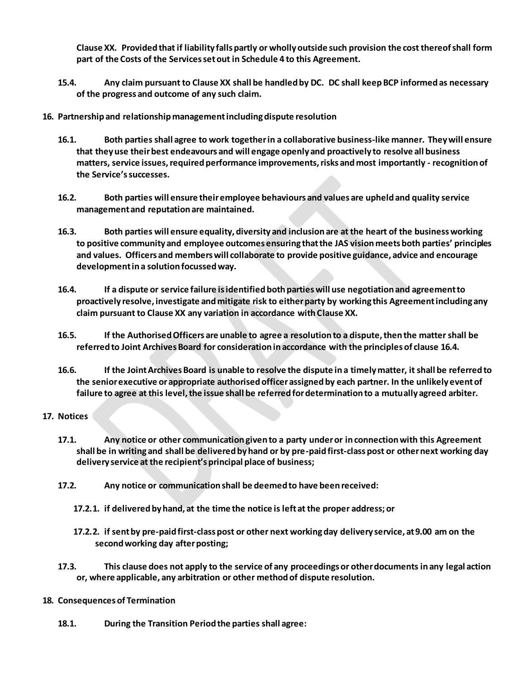**Clause XX. Provided that if liability falls partly or wholly outside such provision the cost thereof shall form part of the Costs of the Services set out in Schedule 4 to this Agreement.**

- **15.4. Any claim pursuant to Clause XX shall be handled by DC. DC shall keep BCP informed as necessary of the progress and outcome of any such claim.**
- **16. Partnership and relationship management including dispute resolution**
	- **16.1. Both parties shall agree to work together in a collaborative business-like manner. They will ensure that they use their best endeavours and will engage openly and proactively to resolve all business matters, service issues, required performance improvements, risks and most importantly - recognition of the Service's successes.**
	- **16.2. Both parties will ensure their employee behaviours and values are upheld and quality service management and reputation are maintained.**
	- **16.3. Both parties will ensure equality, diversity and inclusion are at the heart of the business working to positive community and employee outcomes ensuring that the JAS vision meets both parties' principles and values. Officers and members will collaborate to provide positive guidance, advice and encourage development in a solution focussed way.**
	- **16.4. If a dispute or service failure is identified both parties will use negotiation and agreement to proactively resolve, investigate and mitigate risk to either party by working this Agreement including any claim pursuant to Clause XX any variation in accordance with Clause XX.**
	- **16.5. If the Authorised Officers are unable to agree a resolution to a dispute, then the matter shall be referred to Joint Archives Board for consideration in accordance with the principles of clause 16.4.**
	- **16.6. If the Joint Archives Board is unable to resolve the dispute in a timely matter, it shall be referred to the senior executive or appropriate authorised officer assigned by each partner. In the unlikely event of failure to agree at this level, the issue shall be referred for determination to a mutually agreed arbiter.**

### **17. Notices**

- **17.1. Any notice or other communication given to a party under or in connection with this Agreement shall be in writing and shall be delivered by hand or by pre-paid first-class post or other next working day delivery service at the recipient's principal place of business;**
- **17.2. Any notice or communication shall be deemed to have been received:**
	- **17.2.1. if delivered by hand, at the time the notice is left at the proper address; or**
	- **17.2.2. if sent by pre-paid first-class post or other next working day delivery service, at 9.00 am on the second working day after posting;**
- **17.3. This clause does not apply to the service of any proceedings or other documents in any legal action or, where applicable, any arbitration or other method of dispute resolution.**
- **18. Consequences of Termination**
	- **18.1. During the Transition Period the parties shall agree:**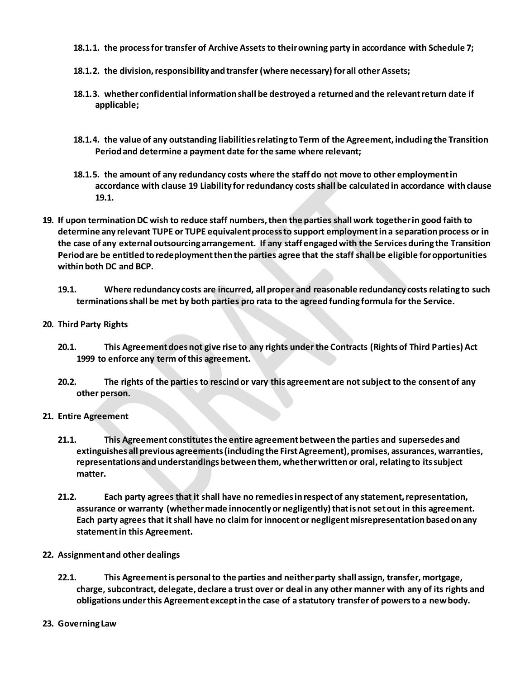- **18.1.1. the process for transfer of Archive Assets to their owning party in accordance with Schedule 7;**
- **18.1.2. the division, responsibility and transfer (where necessary) for all other Assets;**
- **18.1.3. whether confidential information shall be destroyed a returned and the relevant return date if applicable;**
- **18.1.4. the value of any outstanding liabilities relating to Term of the Agreement, including the Transition Period and determine a payment date for the same where relevant;**
- **18.1.5. the amount of any redundancy costs where the staff do not move to other employment in accordance with clause 19 Liability for redundancy costs shall be calculated in accordance with clause 19.1.**
- **19. If upon termination DC wish to reduce staff numbers, then the parties shall work together in good faith to determine any relevant TUPE or TUPE equivalent process to support employment in a separation process or in the case of any external outsourcing arrangement. If any staff engaged with the Services during the Transition Period are be entitled to redeployment then the parties agree that the staff shall be eligible for opportunities within both DC and BCP.** 
	- **19.1. Where redundancy costs are incurred, all proper and reasonable redundancy costs relating to such terminations shall be met by both parties pro rata to the agreed funding formula for the Service.**
- **20. Third Party Rights**
	- **20.1. This Agreement does not give rise to any rights under the Contracts (Rights of Third Parties) Act 1999 to enforce any term of this agreement.**
	- **20.2. The rights of the parties to rescind or vary this agreement are not subject to the consent of any other person.**
- **21. Entire Agreement**
	- **21.1. This Agreement constitutes the entire agreement between the parties and supersedes and extinguishes all previous agreements (including the First Agreement), promises, assurances, warranties, representations and understandings between them, whether written or oral, relating to its subject matter.**
	- **21.2. Each party agrees that it shall have no remedies in respect of any statement, representation, assurance or warranty (whether made innocently or negligently) that is not set out in this agreement. Each party agrees that it shall have no claim for innocent or negligent misrepresentation based on any statement in this Agreement.**
- **22. Assignment and other dealings**
	- **22.1. This Agreement is personal to the parties and neither party shall assign, transfer, mortgage, charge, subcontract, delegate, declare a trust over or deal in any other manner with any of its rights and obligations under this Agreement except in the case of a statutory transfer of powers to a new body.**
- **23. Governing Law**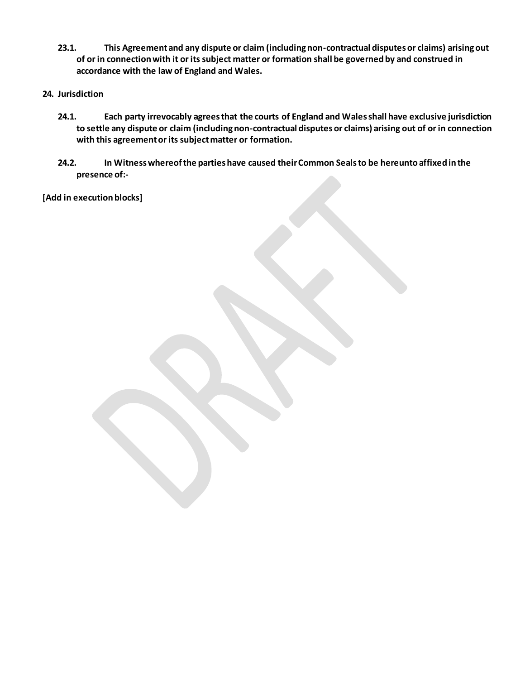- **23.1. This Agreement and any dispute or claim (including non-contractual disputes or claims) arising out of or in connection with it or its subject matter or formation shall be governed by and construed in accordance with the law of England and Wales.**
- **24. Jurisdiction**
	- **24.1. Each party irrevocably agrees that the courts of England and Wales shall have exclusive jurisdiction to settle any dispute or claim (including non-contractual disputes or claims) arising out of or in connection with this agreement or its subject matter or formation.**
	- **24.2. In Witness whereof the parties have caused their Common Seals to be hereunto affixed in the presence of:-**

**[Add in execution blocks]**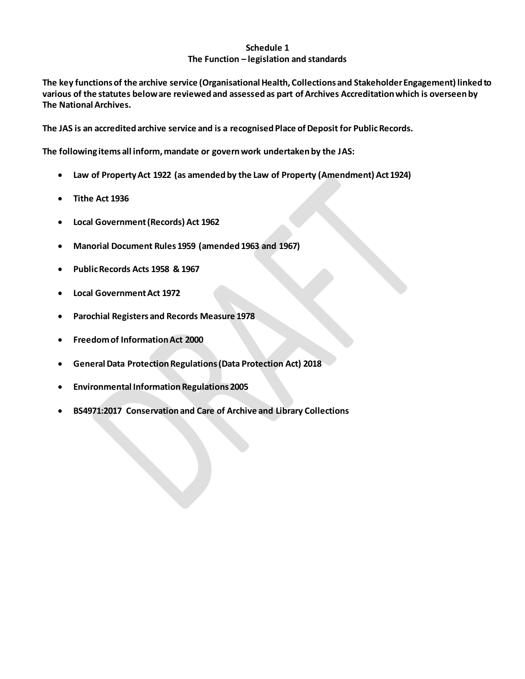## **Schedule 1 The Function – legislation and standards**

**The key functions of the archive service (Organisational Health, Collections and Stakeholder Engagement) linked to various of the statutes below are reviewed and assessed as part of Archives Accreditation which is overseen by The National Archives.** 

**The JAS is an accredited archive service and is a recognised Place of Deposit for Public Records.**

**The following items all inform, mandate or govern work undertaken by the JAS:**

- **Law of Property Act 1922 (as amended by the Law of Property (Amendment) Act 1924)**
- **Tithe Act 1936**
- **Local Government (Records) Act 1962**
- **Manorial Document Rules 1959 (amended 1963 and 1967)**
- **Public Records Acts 1958 & 1967**
- **Local Government Act 1972**
- **Parochial Registers and Records Measure 1978**
- **Freedom of Information Act 2000**
- **General Data Protection Regulations (Data Protection Act) 2018**
- **Environmental Information Regulations 2005**
- **BS4971:2017 Conservation and Care of Archive and Library Collections**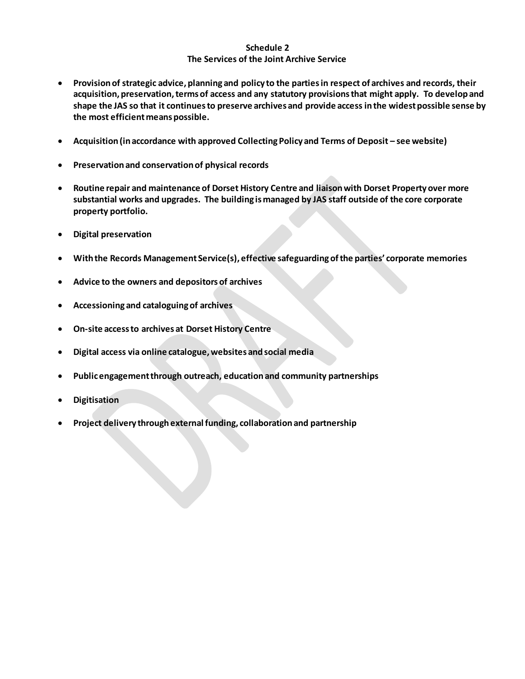## **Schedule 2 The Services of the Joint Archive Service**

- **Provision of strategic advice, planning and policy to the parties in respect of archives and records, their acquisition, preservation, terms of access and any statutory provisions that might apply. To develop and shape the JAS so that it continues to preserve archives and provide access in the widest possible sense by the most efficient means possible.**
- Acquisition (in accordance with approved Collecting Policy and Terms of Deposit see website)
- **Preservation and conservation of physical records**
- **Routine repair and maintenance of Dorset History Centre and liaison with Dorset Property over more substantial works and upgrades. The building is managed by JAS staff outside of the core corporate property portfolio.**
- **Digital preservation**
- **With the Records Management Service(s), effective safeguarding of the parties' corporate memories**
- **Advice to the owners and depositors of archives**
- **Accessioning and cataloguing of archives**
- **On-site access to archives at Dorset History Centre**
- **Digital access via online catalogue, websites and social media**
- **Public engagement through outreach, education and community partnerships**
- **Digitisation**
- **Project delivery through external funding, collaboration and partnership**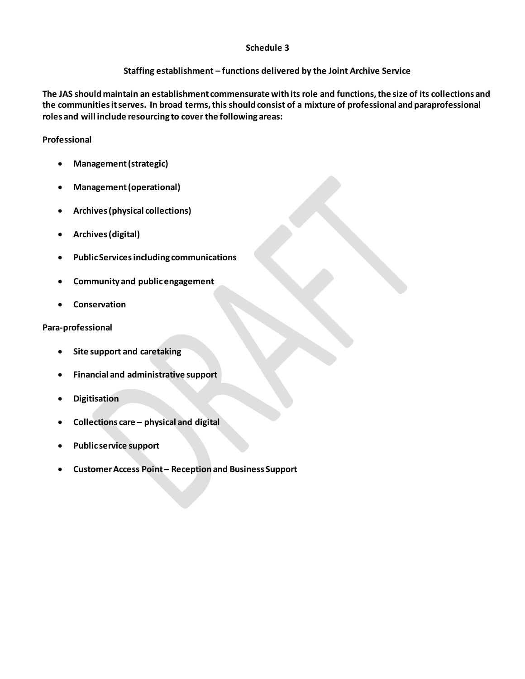### **Schedule 3**

# **Staffing establishment – functions delivered by the Joint Archive Service**

**The JAS should maintain an establishment commensurate with its role and functions, the size of its collections and the communities it serves. In broad terms, this should consist of a mixture of professional and paraprofessional roles and will include resourcing to cover the following areas:**

# **Professional**

- **Management (strategic)**
- **Management (operational)**
- **Archives (physical collections)**
- **Archives (digital)**
- **Public Services including communications**
- **Community and public engagement**
- **Conservation**

## **Para-professional**

- **Site support and caretaking**
- **Financial and administrative support**
- **Digitisation**
- **Collections care – physical and digital**
- **Public service support**
- **Customer Access Point – Reception and Business Support**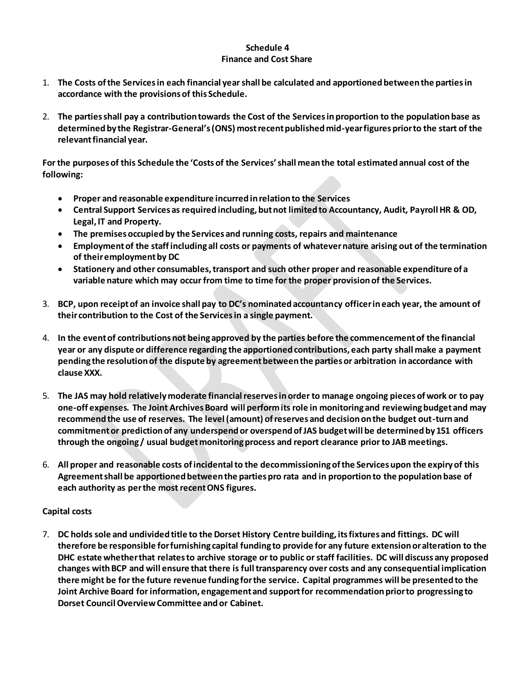### **Schedule 4 Finance and Cost Share**

- 1. **The Costs of the Services in each financial year shall be calculated and apportioned between the parties in accordance with the provisions of this Schedule.**
- 2. **The parties shall pay a contribution towards the Cost of the Services in proportion to the population base as determined by the Registrar-General's (ONS) most recent published mid-year figures prior to the start of the relevant financial year.**

**For the purposes of this Schedule the 'Costs of the Services' shall mean the total estimated annual cost of the following:**

- **Proper and reasonable expenditure incurred in relation to the Services**
- **Central Support Services as required including, but not limited to Accountancy, Audit, Payroll HR & OD, Legal, IT and Property.**
- **The premises occupied by the Services and running costs, repairs and maintenance**
- **Employment of the staff including all costs or payments of whatever nature arising out of the termination of their employment by DC**
- **Stationery and other consumables, transport and such other proper and reasonable expenditure of a variable nature which may occur from time to time for the proper provision of the Services.**
- 3. **BCP, upon receipt of an invoice shall pay to DC's nominated accountancy officer in each year, the amount of their contribution to the Cost of the Services in a single payment.**
- 4. **In the event of contributions not being approved by the parties before the commencement of the financial year or any dispute or difference regarding the apportioned contributions, each party shall make a payment pending the resolution of the dispute by agreement between the parties or arbitration in accordance with clause XXX.**
- 5. **The JAS may hold relatively moderate financial reserves in order to manage ongoing pieces of work or to pay one-off expenses. The Joint Archives Board will perform its role in monitoring and reviewing budget and may recommend the use of reserves. The level (amount) of reserves and decision on the budget out-turn and commitment or prediction of any underspend or overspend of JAS budget will be determined by 151 officers through the ongoing / usual budget monitoring process and report clearance prior to JAB meetings.**
- 6. **All proper and reasonable costs of incidental to the decommissioning of the Services upon the expiry of this Agreement shall be apportioned between the parties pro rata and in proportion to the population base of each authority as per the most recent ONS figures.**

# **Capital costs**

7. **DC holds sole and undivided title to the Dorset History Centre building, its fixtures and fittings. DC will therefore be responsible for furnishing capital funding to provide for any future extension or alteration to the DHC estate whether that relates to archive storage or to public or staff facilities. DC will discuss any proposed changes with BCP and will ensure that there is full transparency over costs and any consequential implication there might be for the future revenue funding for the service. Capital programmes will be presented to the Joint Archive Board for information, engagement and support for recommendation prior to progressing to Dorset Council Overview Committee and or Cabinet.**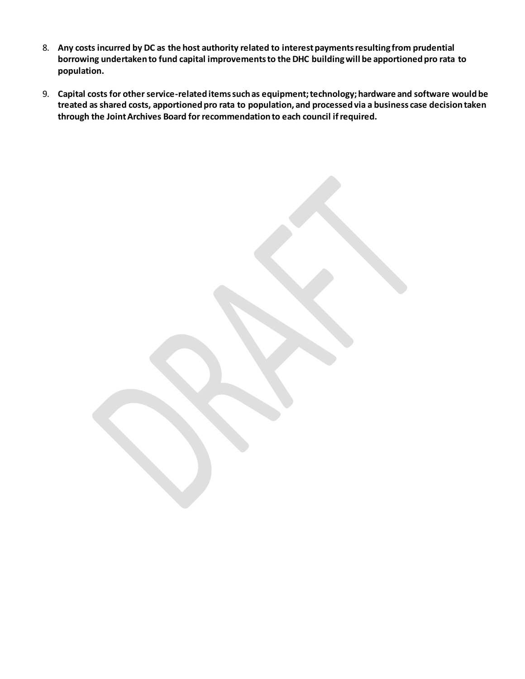- 8. **Any costs incurred by DC as the host authority related to interest payments resulting from prudential borrowing undertaken to fund capital improvements to the DHC building will be apportioned pro rata to population.**
- 9. **Capital costs for other service-related items such as equipment; technology; hardware and software would be treated as shared costs, apportioned pro rata to population, and processed via a business case decision taken through the Joint Archives Board for recommendation to each council if required.**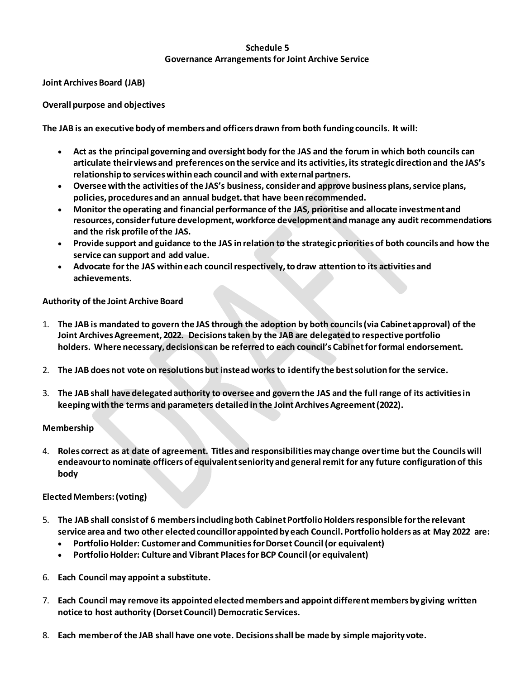# **Schedule 5 Governance Arrangements for Joint Archive Service**

**Joint Archives Board (JAB)**

**Overall purpose and objectives** 

**The JAB is an executive body of members and officers drawn from both funding councils. It will:**

- **Act as the principal governing and oversight body for the JAS and the forum in which both councils can articulate their views and preferences on the service and its activities, its strategic direction and the JAS's relationship to services within each council and with external partners.**
- **Oversee with the activities of the JAS's business, consider and approve business plans, service plans, policies, procedures and an annual budget. that have been recommended.**
- **Monitor the operating and financial performance of the JAS, prioritise and allocate investment and resources, consider future development, workforce development and manage any audit recommendations and the risk profile of the JAS.**
- **Provide support and guidance to the JAS in relation to the strategic priorities of both councils and how the service can support and add value.**
- **Advocate for the JAS within each council respectively, to draw attention to its activities and achievements.**

# **Authority of the Joint Archive Board**

- 1. **The JAB is mandated to govern the JAS through the adoption by both councils (via Cabinet approval) of the Joint Archives Agreement, 2022. Decisions taken by the JAB are delegated to respective portfolio holders. Where necessary, decisions can be referred to each council's Cabinet for formal endorsement.**
- 2. **The JAB does not vote on resolutions but instead works to identify the best solution for the service.**
- 3. **The JAB shall have delegated authority to oversee and govern the JAS and the full range of its activities in keeping with the terms and parameters detailed in the Joint Archives Agreement (2022).**

### **Membership**

4. **Roles correct as at date of agreement. Titles and responsibilities may change over time but the Councils will endeavour to nominate officers of equivalent seniority and general remit for any future configuration of this body**

# **Elected Members: (voting)**

- 5. **The JAB shall consist of 6 members including both Cabinet Portfolio Holders responsible for the relevant service area and two other elected councillor appointed by each Council. Portfolio holders as at May 2022 are:** 
	- **Portfolio Holder: Customer and Communities for Dorset Council (or equivalent)**
	- **Portfolio Holder: Culture and Vibrant Placesfor BCP Council (or equivalent)**
- 6. **Each Council may appoint a substitute.**
- 7. **Each Council may remove its appointed elected members and appoint different members by giving written notice to host authority (Dorset Council) Democratic Services.**
- 8. **Each member of the JAB shall have one vote. Decisions shall be made by simple majority vote.**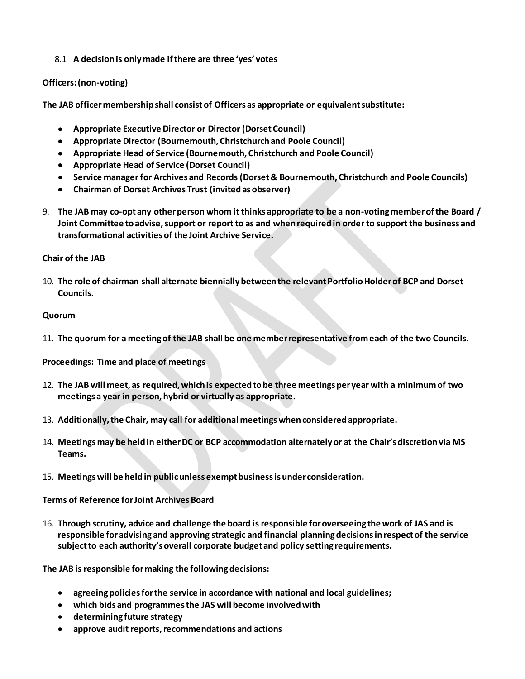8.1 **A decision is only made if there are three 'yes' votes**

# **Officers: (non-voting)**

**The JAB officer membership shall consist of Officers as appropriate or equivalent substitute:**

- **Appropriate Executive Director or Director (Dorset Council)**
- **Appropriate Director (Bournemouth, Christchurch and Poole Council)**
- **Appropriate Head of Service (Bournemouth, Christchurch and Poole Council)**
- **Appropriate Head of Service (Dorset Council)**
- **Service manager for Archives and Records (Dorset & Bournemouth, Christchurch and Poole Councils)**
- **Chairman of Dorset Archives Trust (invited as observer)**
- 9. **The JAB may co-opt any other person whom it thinks appropriate to be a non-voting member of the Board / Joint Committee to advise, support or report to as and when required in order to support the business and transformational activities of the Joint Archive Service.**

## **Chair of the JAB**

10. **The role of chairman shall alternate biennially between the relevant Portfolio Holder of BCP and Dorset Councils.**

## **Quorum**

11. **The quorum for a meeting of the JAB shall be one member representative from each of the two Councils.**

**Proceedings: Time and place of meetings** 

- 12. **The JAB will meet, as required, which is expected to be three meetings per year with a minimum of two meetings a year in person, hybrid or virtually as appropriate.**
- 13. **Additionally, the Chair, may call for additional meetings when considered appropriate.**
- 14. **Meetings may be held in either DC or BCP accommodation alternately or at the Chair's discretion via MS Teams.**
- 15. **Meetings will be held in public unless exempt business is under consideration.**

**Terms of Reference for Joint Archives Board** 

16. **Through scrutiny, advice and challenge the board is responsible for overseeing the work of JAS and is responsible for advising and approving strategic and financial planning decisions in respect of the service subject to each authority's overall corporate budget and policy setting requirements.**

**The JAB is responsible for making the following decisions:**

- **agreeing policies for the service in accordance with national and local guidelines;**
- **which bids and programmes the JAS will become involved with**
- **determining future strategy**
- **approve audit reports, recommendations and actions**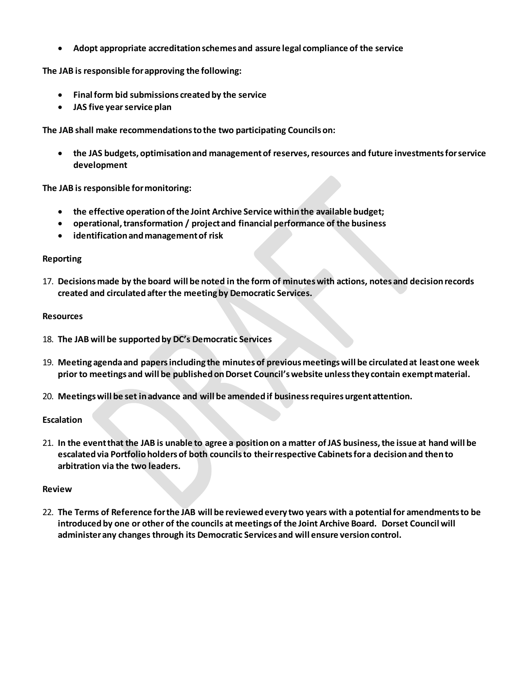**Adopt appropriate accreditation schemes and assure legal compliance of the service**

**The JAB is responsible for approving the following:**

- **Final form bid submissions created by the service**
- **JAS five year service plan**

**The JAB shall make recommendations to the two participating Councils on:**

 **the JAS budgets, optimisation and management of reserves, resources and future investments for service development**

**The JAB is responsible for monitoring:**

- **the effective operation of the Joint Archive Service within the available budget;**
- **operational, transformation / project and financial performance of the business**
- **identification and management of risk**

### **Reporting**

17. **Decisions made by the board will be noted in the form of minutes with actions, notes and decision records created and circulated after the meeting by Democratic Services.** 

#### **Resources**

- 18. **The JAB will be supported by DC's Democratic Services**
- 19. **Meeting agenda and papers including the minutes of previous meetings will be circulated at least one week prior to meetings and will be published on Dorset Council's website unless they contain exempt material.**
- 20. **Meetings will be set in advance and will be amended if business requires urgent attention.**

### **Escalation**

21. **In the event that the JAB is unable to agree a position on a matter of JAS business, the issue at hand will be escalated via Portfolio holders of both councils to their respective Cabinets for a decision and then to arbitration via the two leaders.**

#### **Review**

22. **The Terms of Reference for the JAB will be reviewed every two years with a potential for amendments to be introduced by one or other of the councils at meetings of the Joint Archive Board. Dorset Council will administer any changes through its Democratic Services and will ensure version control.**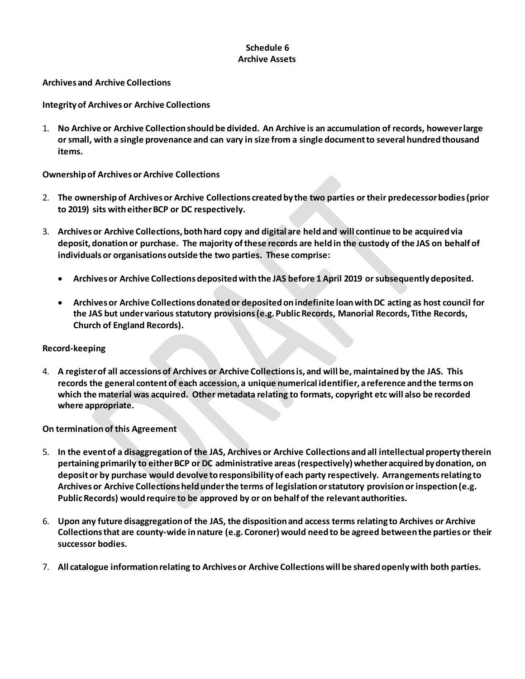# **Schedule 6 Archive Assets**

**Archives and Archive Collections**

**Integrity of Archives or Archive Collections**

1. **No Archive or Archive Collection should be divided. An Archive is an accumulation of records, however large or small, with a single provenance and can vary in size from a single document to several hundred thousand items.**

**Ownership of Archives or Archive Collections**

- 2. **The ownership of Archives or Archive Collections created by the two parties or their predecessor bodies (prior to 2019) sits with either BCP or DC respectively.**
- 3. **Archives or Archive Collections, both hard copy and digital are held and will continue to be acquired via deposit, donation or purchase. The majority of these records are held in the custody of the JAS on behalf of individuals or organisations outside the two parties. These comprise:**
	- **Archives or Archive Collections deposited with the JAS before 1 April 2019 or subsequently deposited.**
	- **Archives or Archive Collections donated or deposited on indefinite loan with DC acting as host council for the JAS but under various statutory provisions (e.g. Public Records, Manorial Records, Tithe Records, Church of England Records).**

### **Record-keeping**

4. **A register of all accessions of Archives or Archive Collections is, and will be, maintained by the JAS. This records the general content of each accession, a unique numerical identifier, a reference and the terms on which the material was acquired. Other metadata relating to formats, copyright etc will also be recorded where appropriate.**

# **On termination of this Agreement**

- 5. **In the event of a disaggregation of the JAS, Archives or Archive Collections and all intellectual property therein pertaining primarily to either BCP or DC administrative areas (respectively) whether acquired by donation, on deposit or by purchase would devolve to responsibility of each party respectively. Arrangements relating to Archives or Archive Collections held under the terms of legislation or statutory provision or inspection (e.g. Public Records) would require to be approved by or on behalf of the relevant authorities.**
- 6. **Upon any future disaggregation of the JAS, the disposition and access terms relating to Archives or Archive Collections that are county-wide in nature (e.g. Coroner) would need to be agreed between the parties or their successor bodies.**
- 7. **All catalogue information relating to Archives or Archive Collections will be shared openly with both parties.**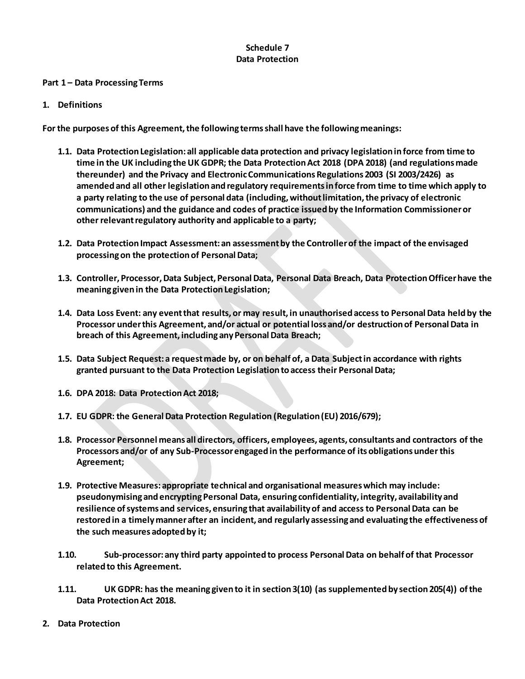# **Schedule 7 Data Protection**

#### **Part 1 – Data Processing Terms**

#### **1. Definitions**

**For the purposes of this Agreement, the following terms shall have the following meanings:**

- **1.1. Data Protection Legislation: all applicable data protection and privacy legislation in force from time to time in the UK including the UK GDPR; the Data Protection Act 2018 (DPA 2018) (and regulations made thereunder) and the Privacy and Electronic Communications Regulations 2003 (SI 2003/2426) as amended and all other legislation and regulatory requirements in force from time to time which apply to a party relating to the use of personal data (including, without limitation, the privacy of electronic communications) and the guidance and codes of practice issued by the Information Commissioner or other relevant regulatory authority and applicable to a party;**
- **1.2. Data Protection Impact Assessment: an assessment by the Controller of the impact of the envisaged processing on the protection of Personal Data;**
- **1.3. Controller, Processor, Data Subject, Personal Data, Personal Data Breach, Data Protection Officer have the meaning given in the Data Protection Legislation;**
- **1.4. Data Loss Event: any event that results, or may result, in unauthorised access to Personal Data held by the Processor under this Agreement, and/or actual or potential loss and/or destruction of Personal Data in breach of this Agreement, including any Personal Data Breach;**
- **1.5. Data Subject Request: a request made by, or on behalf of, a Data Subject in accordance with rights granted pursuant to the Data Protection Legislation to access their Personal Data;**
- **1.6. DPA 2018: Data Protection Act 2018;**
- **1.7. EU GDPR: the General Data Protection Regulation (Regulation (EU) 2016/679);**
- **1.8. Processor Personnel means all directors, officers, employees, agents, consultants and contractors of the Processors and/or of any Sub-Processor engaged in the performance of its obligations under this Agreement;**
- **1.9. Protective Measures: appropriate technical and organisational measures which may include: pseudonymising and encrypting Personal Data, ensuring confidentiality, integrity, availability and resilience of systems and services, ensuring that availability of and access to Personal Data can be restored in a timely manner after an incident, and regularly assessing and evaluating the effectiveness of the such measures adopted by it;**
- **1.10. Sub-processor: any third party appointed to process Personal Data on behalf of that Processor related to this Agreement.**
- **1.11. UK GDPR: has the meaning given to it in section 3(10) (as supplemented by section 205(4)) of the Data Protection Act 2018.**
- **2. Data Protection**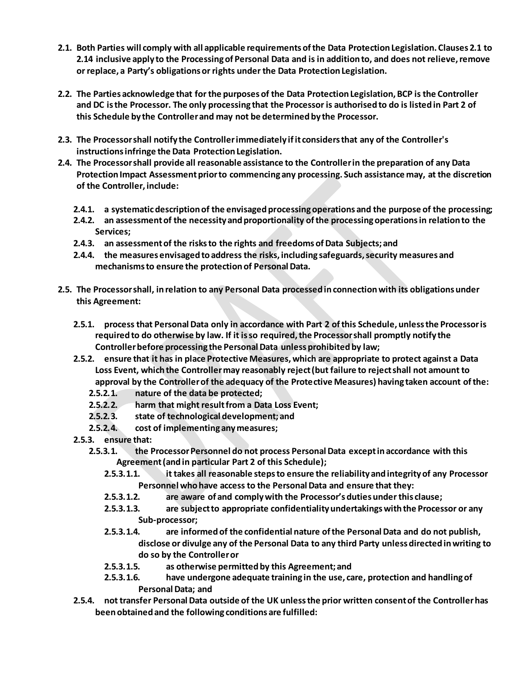- **2.1. Both Parties will comply with all applicable requirements of the Data Protection Legislation. Clauses 2.1 to 2.14 inclusive apply to the Processing of Personal Data and is in addition to, and does not relieve, remove or replace, a Party's obligations or rights under the Data Protection Legislation.**
- **2.2. The Parties acknowledge that for the purposes of the Data Protection Legislation, BCP is the Controller and DC is the Processor. The only processing that the Processor is authorised to do is listed in Part 2 of this Schedule by the Controller and may not be determined by the Processor.**
- **2.3. The Processor shall notify the Controller immediately if it considers that any of the Controller's instructions infringe the Data Protection Legislation.**
- **2.4. The Processor shall provide all reasonable assistance to the Controller in the preparation of any Data Protection Impact Assessment prior to commencing any processing. Such assistance may, at the discretion of the Controller, include:**
	- **2.4.1. a systematic description of the envisaged processing operations and the purpose of the processing;**
	- **2.4.2. an assessment of the necessity and proportionality of the processing operations in relation to the Services;**
	- **2.4.3. an assessment of the risks to the rights and freedoms of Data Subjects; and**
	- **2.4.4. the measures envisaged to address the risks, including safeguards, security measures and mechanisms to ensure the protection of Personal Data.**
- **2.5. The Processor shall, in relation to any Personal Data processed in connection with its obligations under this Agreement:**
	- **2.5.1. process that Personal Data only in accordance with Part 2 of this Schedule, unless the Processor is required to do otherwise by law. If it is so required, the Processor shall promptly notify the Controller before processing the Personal Data unless prohibited by law;**
	- **2.5.2. ensure that it has in place Protective Measures, which are appropriate to protect against a Data Loss Event, which the Controller may reasonably reject (but failure to reject shall not amount to approval by the Controller of the adequacy of the Protective Measures) having taken account of the:**
		- **2.5.2.1. nature of the data be protected;**
		- **2.5.2.2. harm that might result from a Data Loss Event;**
		- **2.5.2.3. state of technological development; and**
		- **2.5.2.4. cost of implementing any measures;**
	- **2.5.3. ensure that:**
		- **2.5.3.1. the Processor Personnel do not process Personal Data except in accordance with this Agreement (and in particular Part 2 of this Schedule);**
			- **2.5.3.1.1. it takes all reasonable steps to ensure the reliability and integrity of any Processor Personnel who have access to the Personal Data and ensure that they:**
			- **2.5.3.1.2. are aware of and comply with the Processor's duties under this clause;**
			- **2.5.3.1.3. are subject to appropriate confidentiality undertakings with the Processor or any Sub-processor;**
			- **2.5.3.1.4. are informed of the confidential nature of the Personal Data and do not publish, disclose or divulge any of the Personal Data to any third Party unless directed in writing to do so by the Controller or**
			- **2.5.3.1.5. as otherwise permitted by this Agreement; and**
			- **2.5.3.1.6. have undergone adequate training in the use, care, protection and handling of Personal Data; and**
	- **2.5.4. not transfer Personal Data outside of the UK unless the prior written consent of the Controller has been obtained and the following conditions are fulfilled:**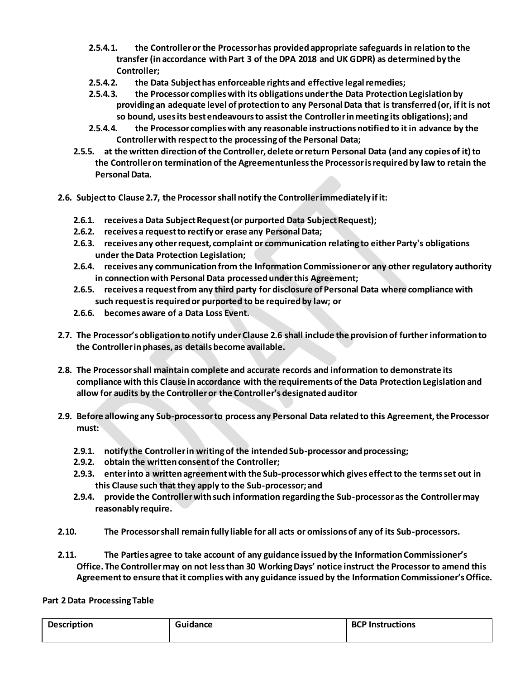- **2.5.4.1. the Controller or the Processor has provided appropriate safeguards in relation to the transfer (in accordance with Part 3 of the DPA 2018 and UK GDPR) as determined by the Controller;**
- **2.5.4.2. the Data Subject has enforceable rights and effective legal remedies;**
- **2.5.4.3. the Processor complies with its obligations under the Data Protection Legislation by providing an adequate level of protection to any Personal Data that is transferred (or, if it is not so bound, uses its best endeavours to assist the Controller in meeting its obligations); and**
- **2.5.4.4. the Processor complies with any reasonable instructions notified to it in advance by the Controller with respect to the processing of the Personal Data;**
- **2.5.5. at the written direction of the Controller, delete or return Personal Data (and any copies of it) to the Controller on termination of the Agreementunless the Processor is required by law to retain the Personal Data.**
- <span id="page-19-0"></span>**2.6. Subject to Clause 2.7, the Processor shall notify the Controller immediately if it:**
	- **2.6.1. receives a Data Subject Request (or purported Data Subject Request);**
	- **2.6.2. receives a request to rectify or erase any Personal Data;**
	- **2.6.3. receives any other request, complaint or communication relating to either Party's obligations under the Data Protection Legislation;**
	- **2.6.4. receives any communication from the Information Commissioner or any other regulatory authority in connection with Personal Data processed under this Agreement;**
	- **2.6.5. receives a request from any third party for disclosure of Personal Data where compliance with such request is required or purported to be required by law; or**
	- **2.6.6. becomes aware of a Data Loss Event.**
- **2.7. The Processor's obligation to notify under Claus[e 2.6](#page-19-0) shall include the provision of further information to the Controller in phases, as details become available.**
- **2.8. The Processor shall maintain complete and accurate records and information to demonstrate its compliance with this Clause in accordance with the requirements of the Data Protection Legislation and allow for audits by the Controller or the Controller's designated auditor**
- **2.9. Before allowing any Sub-processor to process any Personal Data related to this Agreement, the Processor must:**
	- **2.9.1. notify the Controller in writing of the intended Sub-processor and processing;**
	- **2.9.2. obtain the written consent of the Controller;**
	- **2.9.3. enter into a written agreement with the Sub-processor which gives effect to the terms set out in this Clause such that they apply to the Sub-processor; and**
	- **2.9.4. provide the Controller with such information regarding the Sub-processor as the Controller may reasonably require.**
- **2.10. The Processor shall remain fully liable for all acts or omissions of any of its Sub-processors.**
- **2.11. The Parties agree to take account of any guidance issued by the Information Commissioner's Office. The Controller may on not less than 30 Working Days' notice instruct the Processor to amend this Agreement to ensure that it complies with any guidance issued by the Information Commissioner's Office.**

### **Part 2 Data Processing Table**

| <b>Description</b> | Guidance | <b>BCP Instructions</b> |
|--------------------|----------|-------------------------|
|                    |          |                         |